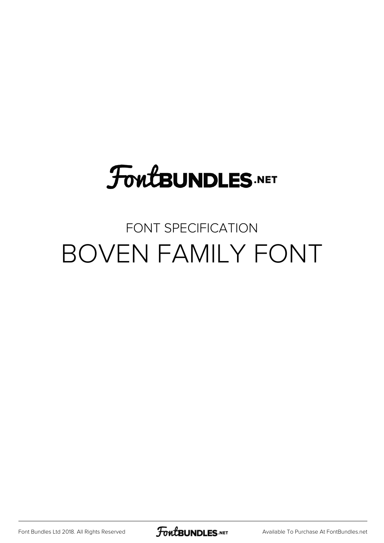### **FoutBUNDLES.NET**

### FONT SPECIFICATION BOVEN FAMILY FONT

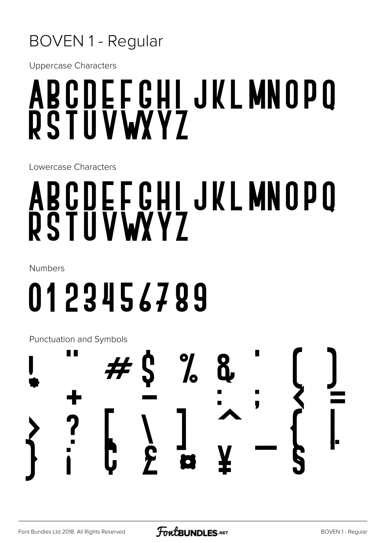#### **BOVEN 1 - Regular**

**Uppercase Characters** 

# ABCDEFGHL JKLMNOPO<br>RSTUVWYZ

Lowercase Characters

# ABCDEFCHI JKLMNOPO<br>RSTUVWYZ

**Numbers** 

### 0123456789

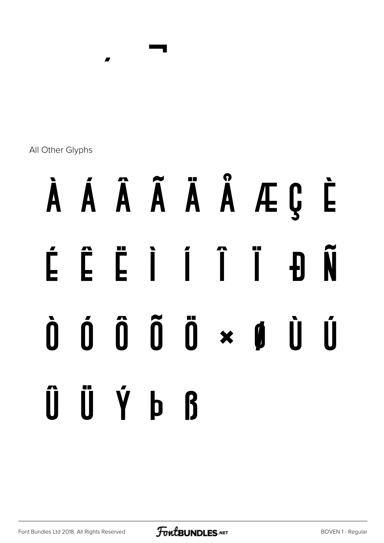## À Á Â Ã Ä Å Æ Ç È É Ê Ë Ì Í Î Ï Ð Ñ Ò Ó Ô Õ Ö × Ø Ù Ú Û Ü Ý Þ ß

 $\mathcal{L} = \mathcal{L} \mathcal{L} = \mathcal{L} \mathcal{L} = \mathcal{L} \mathcal{L} \mathcal{L} = \mathcal{L} \mathcal{L} \mathcal{L} = \mathcal{L} \mathcal{L} \mathcal{L} = \mathcal{L} \mathcal{L} \mathcal{L} = \mathcal{L} \mathcal{L} \mathcal{L} = \mathcal{L} \mathcal{L} \mathcal{L} = \mathcal{L} \mathcal{L} \mathcal{L} = \mathcal{L} \mathcal{L} \mathcal{L} = \mathcal{L} \mathcal{L} \mathcal{L} = \mathcal{L} \mathcal{L} \mathcal{$ 

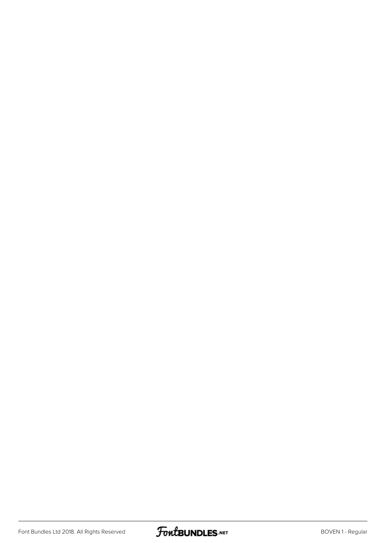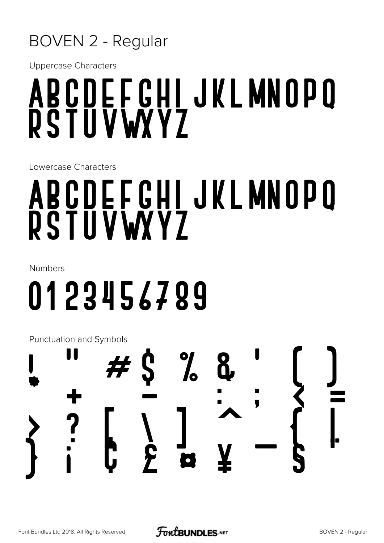#### **BOVEN 2 - Regular**

**Uppercase Characters** 

# ABCDEFGHL JKLMNOPO<br>RSTUVWYZ

Lowercase Characters

# ABCDEFCHI JKLMNOPO

**Numbers** 

### 0123456789

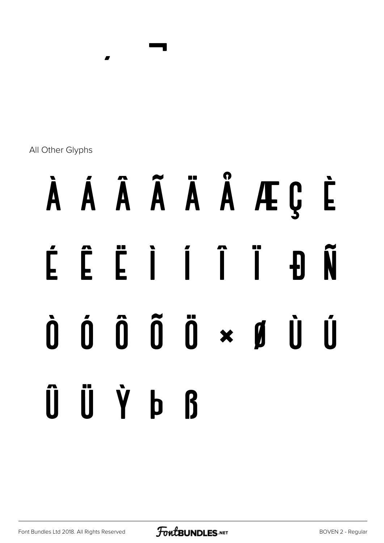## À Á Â Ã Ä Å Æ Ç È É Ê Ë Ì Í Î Ï Ð Ñ Ò Ó Ô Õ Ö × Ø Ù Ú Û Ü Ý Þ ß

 $\mathcal{L} = \mathcal{L} = \mathcal{L} = \mathcal{L} = \mathcal{L} = \mathcal{L} = \mathcal{L} = \mathcal{L} = \mathcal{L} = \mathcal{L} = \mathcal{L} = \mathcal{L} = \mathcal{L} = \mathcal{L} = \mathcal{L} = \mathcal{L} = \mathcal{L} = \mathcal{L} = \mathcal{L} = \mathcal{L} = \mathcal{L} = \mathcal{L} = \mathcal{L} = \mathcal{L} = \mathcal{L} = \mathcal{L} = \mathcal{L} = \mathcal{L} = \mathcal{L} = \mathcal{L} = \mathcal{L} = \mathcal$ 

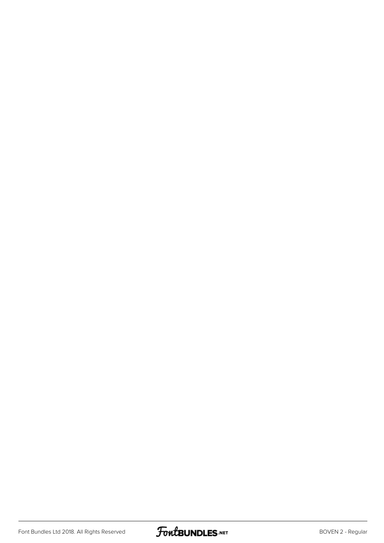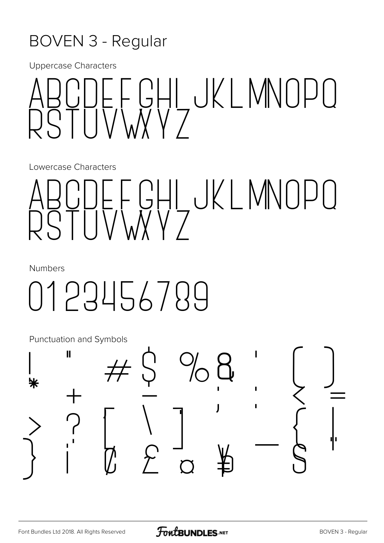#### **BOVEN 3 - Regular**

**Uppercase Characters** 

# HUKLMNN

Lowercase Characters

-IL JK L MNO

**Numbers** 

0123456789

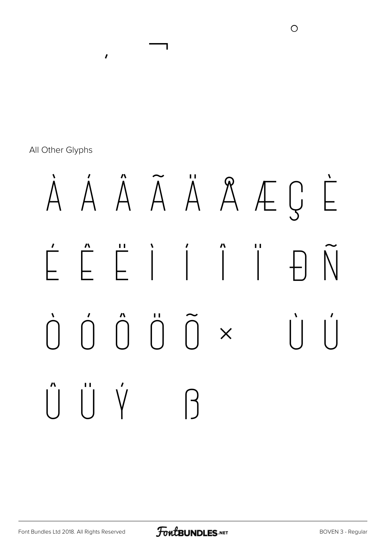## À Á Â Ã Ä Å Æ Ç È É Ê Ë Ì Í Î Ï Ð Ñ  $\bigcap$   $\bigcap$   $\bigcap$   $\bigcap$   $\bigcap$   $\times$   $\bigcap$   $\bigcap$   $\bigcap$  $\bigcap$

 $\overline{\phantom{a}}$ 

 $\bigcirc$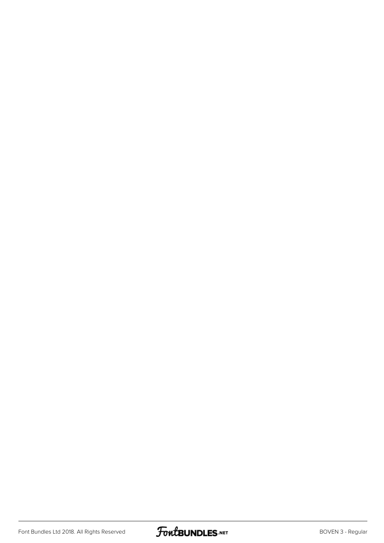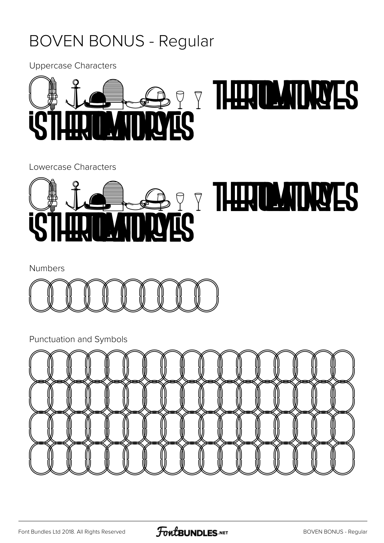### **BOVEN BONUS - Regular**

**Uppercase Characters** 



Lowercase Characters

### **LYES** IMA  $\begin{array}{cc} \nabla & \nabla & \mathbf{N} \nabla \end{array}$

**Numbers** 

### 0123456789

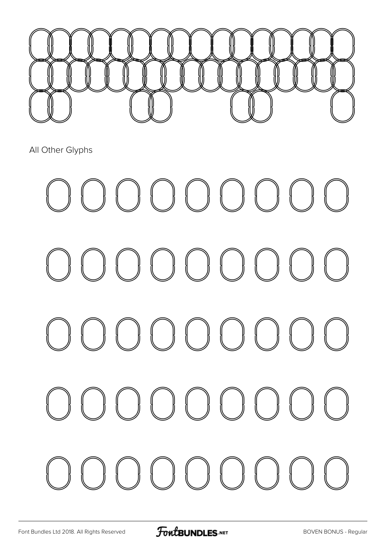|              | $\bigodot$ a $\kappa$ $\lnot$ $\bigodot$ |  |                             |             | 士              |
|--------------|------------------------------------------|--|-----------------------------|-------------|----------------|
| $2 \qquad 3$ |                                          |  | $\mu \parallel \cdot$       | $\mathbf 1$ | $\overline{O}$ |
|              |                                          |  | $\frac{1}{4}$ $\frac{1}{2}$ |             | $\frac{3}{4}$  |

À Á Â Ã Ä Å Æ Ç È É Ê Ë Ì Í Î Ï Ð Ñ Ò Ó Ô Õ Ö × Ø Ù Ú Û Ü Ý Þ ß à á â ã ä å æ ç è é ê ë ì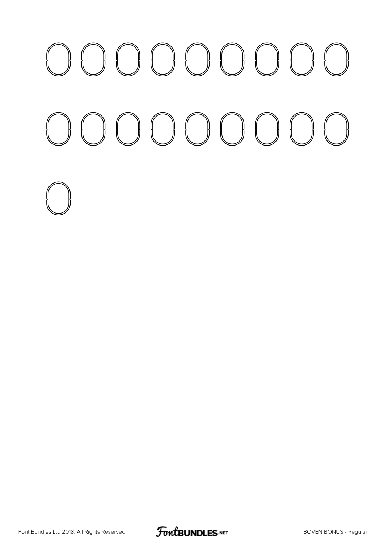## í î ï ð ñ ò ó ô õ ö ÷ ø ù ú û ü ý þ

ÿ

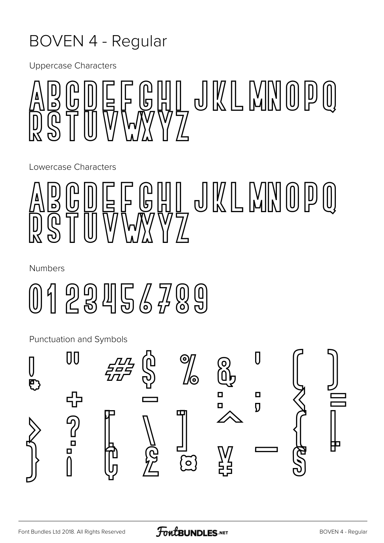#### **BOVEN 4 - Regular**

**Uppercase Characters** 



Lowercase Characters

### UKLMN0P0  $\sqrt{\frac{L}{2}}$ 빏

**Numbers** 

0123456709

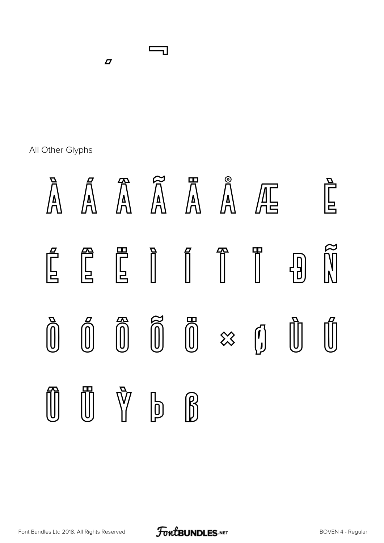